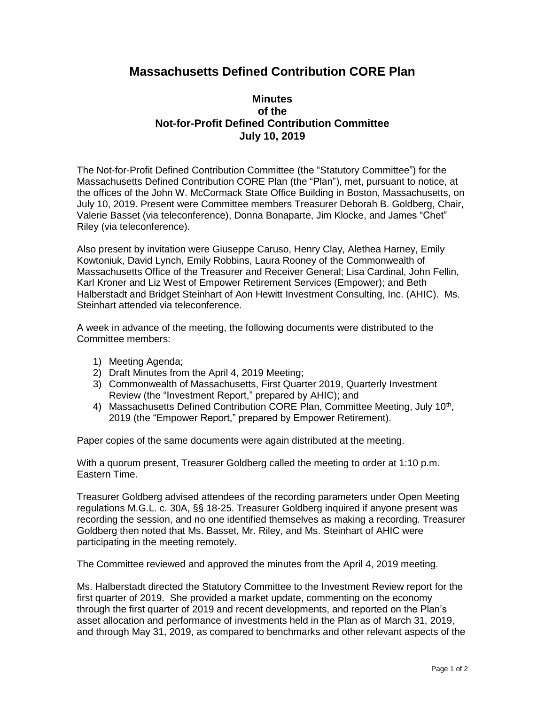## **Massachusetts Defined Contribution CORE Plan**

## **Minutes of the Not-for-Profit Defined Contribution Committee July 10, 2019**

The Not-for-Profit Defined Contribution Committee (the "Statutory Committee") for the Massachusetts Defined Contribution CORE Plan (the "Plan"), met, pursuant to notice, at the offices of the John W. McCormack State Office Building in Boston, Massachusetts, on July 10, 2019. Present were Committee members Treasurer Deborah B. Goldberg, Chair, Valerie Basset (via teleconference), Donna Bonaparte, Jim Klocke, and James "Chet" Riley (via teleconference).

Also present by invitation were Giuseppe Caruso, Henry Clay, Alethea Harney, Emily Kowtoniuk, David Lynch, Emily Robbins, Laura Rooney of the Commonwealth of Massachusetts Office of the Treasurer and Receiver General; Lisa Cardinal, John Fellin, Karl Kroner and Liz West of Empower Retirement Services (Empower); and Beth Halberstadt and Bridget Steinhart of Aon Hewitt Investment Consulting, Inc. (AHIC). Ms. Steinhart attended via teleconference.

A week in advance of the meeting, the following documents were distributed to the Committee members:

- 1) Meeting Agenda;
- 2) Draft Minutes from the April 4, 2019 Meeting;
- 3) Commonwealth of Massachusetts, First Quarter 2019, Quarterly Investment Review (the "Investment Report," prepared by AHIC); and
- 4) Massachusetts Defined Contribution CORE Plan, Committee Meeting, July 10<sup>th</sup>, 2019 (the "Empower Report," prepared by Empower Retirement).

Paper copies of the same documents were again distributed at the meeting.

With a quorum present, Treasurer Goldberg called the meeting to order at 1:10 p.m. Eastern Time.

Treasurer Goldberg advised attendees of the recording parameters under Open Meeting regulations M.G.L. c. 30A, §§ 18-25. Treasurer Goldberg inquired if anyone present was recording the session, and no one identified themselves as making a recording. Treasurer Goldberg then noted that Ms. Basset, Mr. Riley, and Ms. Steinhart of AHIC were participating in the meeting remotely.

The Committee reviewed and approved the minutes from the April 4, 2019 meeting.

Ms. Halberstadt directed the Statutory Committee to the Investment Review report for the first quarter of 2019. She provided a market update, commenting on the economy through the first quarter of 2019 and recent developments, and reported on the Plan's asset allocation and performance of investments held in the Plan as of March 31, 2019, and through May 31, 2019, as compared to benchmarks and other relevant aspects of the